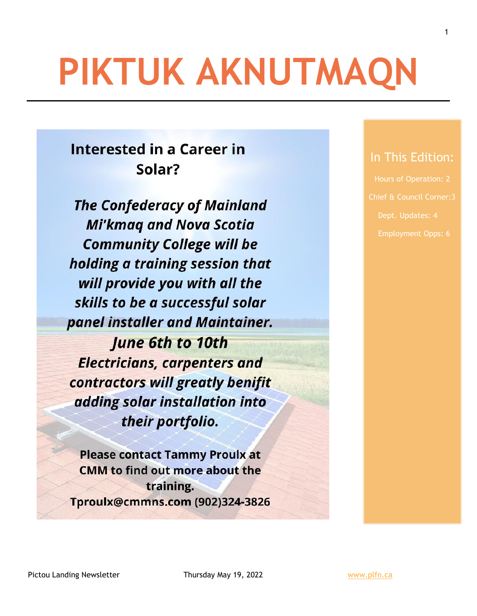# **PIKTUK AKNUTMAQN**

## **Interested in a Career in** Solar?

**The Confederacy of Mainland Mi'kmaq and Nova Scotia Community College will be** holding a training session that will provide you with all the skills to be a successful solar panel installer and Maintainer. **June 6th to 10th Electricians, carpenters and** 

contractors will greatly benifit adding solar installation into their portfolio.

**Please contact Tammy Proulx at CMM** to find out more about the training. Tproulx@cmmns.com (902)324-3826

## In This Edition:

1

Hours of Operation: 2 Dept. Updates: 4

Pictou Landing Newsletter Thursday May 19, 2022 Www.plfn.ca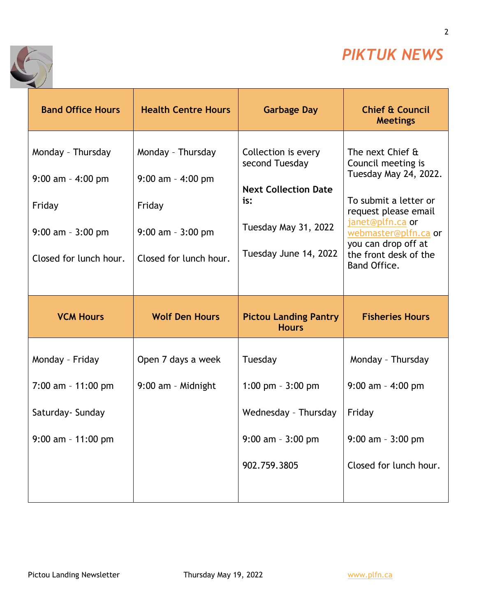

2

٦



| <b>Band Office Hours</b>                                                                              | <b>Health Centre Hours</b>                                                                              | <b>Garbage Day</b>                                                                                                           | <b>Chief &amp; Council</b><br><b>Meetings</b>                                                                                                                                                                                |
|-------------------------------------------------------------------------------------------------------|---------------------------------------------------------------------------------------------------------|------------------------------------------------------------------------------------------------------------------------------|------------------------------------------------------------------------------------------------------------------------------------------------------------------------------------------------------------------------------|
| Monday - Thursday<br>$9:00$ am - 4:00 pm<br>Friday<br>$9:00$ am - $3:00$ pm<br>Closed for lunch hour. | Monday - Thursday<br>$9:00$ am $-$ 4:00 pm<br>Friday<br>$9:00$ am - $3:00$ pm<br>Closed for lunch hour. | Collection is every<br>second Tuesday<br><b>Next Collection Date</b><br>is:<br>Tuesday May 31, 2022<br>Tuesday June 14, 2022 | The next Chief &<br>Council meeting is<br>Tuesday May 24, 2022.<br>To submit a letter or<br>request please email<br>janet@plfn.ca or<br>webmaster@plfn.ca or<br>you can drop off at<br>the front desk of the<br>Band Office. |
|                                                                                                       |                                                                                                         |                                                                                                                              |                                                                                                                                                                                                                              |
| <b>VCM Hours</b>                                                                                      | <b>Wolf Den Hours</b>                                                                                   | <b>Pictou Landing Pantry</b><br><b>Hours</b>                                                                                 | <b>Fisheries Hours</b>                                                                                                                                                                                                       |
| Monday - Friday                                                                                       | Open 7 days a week                                                                                      | Tuesday                                                                                                                      | Monday - Thursday                                                                                                                                                                                                            |
| $7:00$ am - 11:00 pm                                                                                  | 9:00 am - Midnight                                                                                      | 1:00 pm $-3:00$ pm                                                                                                           | $9:00$ am - 4:00 pm                                                                                                                                                                                                          |
| Saturday- Sunday                                                                                      |                                                                                                         | Wednesday - Thursday                                                                                                         | Friday                                                                                                                                                                                                                       |
| $9:00$ am - 11:00 pm                                                                                  |                                                                                                         | $9:00$ am - $3:00$ pm                                                                                                        | $9:00$ am - $3:00$ pm                                                                                                                                                                                                        |
|                                                                                                       |                                                                                                         | 902.759.3805                                                                                                                 | Closed for lunch hour.                                                                                                                                                                                                       |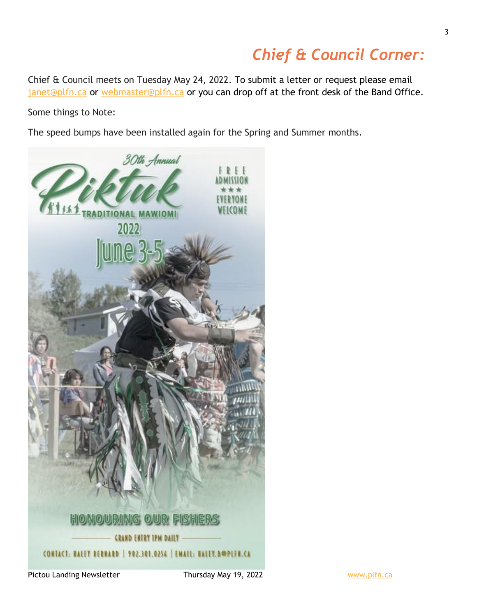## *Chief & Council Corner:*

Chief & Council meets on Tuesday May 24, 2022. To submit a letter or request please email [janet@plfn.ca](mailto:janet@plfn.ca) or [webmaster@plfn.ca](mailto:webmaster@plfn.ca) or you can drop off at the front desk of the Band Office.

Some things to Note:

The speed bumps have been installed again for the Spring and Summer months.



Pictou Landing Newsletter Thursday May 19, 2022 Www.plfn.ca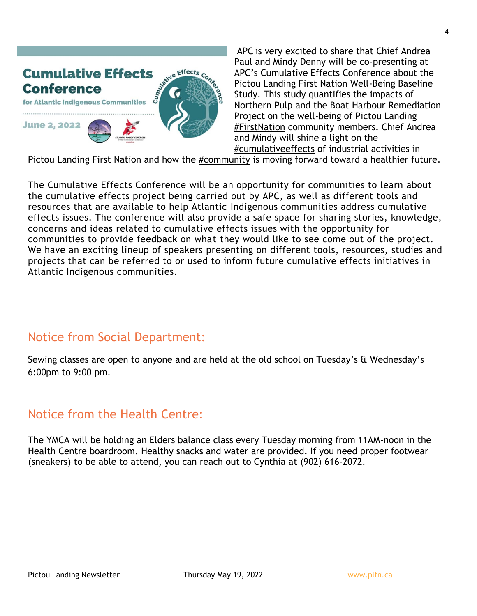

APC is very excited to share that Chief Andrea Paul and Mindy Denny will be co-presenting at APC's Cumulative Effects Conference about the Pictou Landing First Nation Well-Being Baseline Study. This study quantifies the impacts of Northern Pulp and the Boat Harbour Remediation Project on the well-being of Pictou Landing [#FirstNation](https://www.facebook.com/hashtag/firstnation?__eep__=6&__cft__%5b0%5d=AZWR88gOfq5aWl6DmfcG0VRXMDG_0O4UVyPEYiKiUtutMic_lrSocHQj2OnGvqtzsdZaNYzgNfQliweRmlAnFIacKiaQZd9R1FMo0-ty8v48_AZFAmbJXWxLwD8QZUsWuZT6CPSbLV1cHJNrWUXUeof4D-91-Nhvov4WUfkf2VGm3U88VatuJ8tlrfMNgUvB8LCM4dAEckiRhU58UNAcTnCE7anc60OXnyQpKOliOHLB0w&__tn__=*NK-y-R) community members. Chief Andrea and Mindy will shine a light on the [#cumulativeeffects](https://www.facebook.com/hashtag/cumulativeeffects?__eep__=6&__cft__%5b0%5d=AZWR88gOfq5aWl6DmfcG0VRXMDG_0O4UVyPEYiKiUtutMic_lrSocHQj2OnGvqtzsdZaNYzgNfQliweRmlAnFIacKiaQZd9R1FMo0-ty8v48_AZFAmbJXWxLwD8QZUsWuZT6CPSbLV1cHJNrWUXUeof4D-91-Nhvov4WUfkf2VGm3U88VatuJ8tlrfMNgUvB8LCM4dAEckiRhU58UNAcTnCE7anc60OXnyQpKOliOHLB0w&__tn__=*NK-y-R) of industrial activities in

Pictou Landing First Nation and how the [#community](https://www.facebook.com/hashtag/community?__eep__=6&__cft__%5b0%5d=AZWR88gOfq5aWl6DmfcG0VRXMDG_0O4UVyPEYiKiUtutMic_lrSocHQj2OnGvqtzsdZaNYzgNfQliweRmlAnFIacKiaQZd9R1FMo0-ty8v48_AZFAmbJXWxLwD8QZUsWuZT6CPSbLV1cHJNrWUXUeof4D-91-Nhvov4WUfkf2VGm3U88VatuJ8tlrfMNgUvB8LCM4dAEckiRhU58UNAcTnCE7anc60OXnyQpKOliOHLB0w&__tn__=*NK-y-R) is moving forward toward a healthier future.

The Cumulative Effects Conference will be an opportunity for communities to learn about the cumulative effects project being carried out by APC, as well as different tools and resources that are available to help Atlantic Indigenous communities address cumulative effects issues. The conference will also provide a safe space for sharing stories, knowledge, concerns and ideas related to cumulative effects issues with the opportunity for communities to provide feedback on what they would like to see come out of the project. We have an exciting lineup of speakers presenting on different tools, resources, studies and projects that can be referred to or used to inform future cumulative effects initiatives in Atlantic Indigenous communities.

#### Notice from Social Department:

Sewing classes are open to anyone and are held at the old school on Tuesday's & Wednesday's 6:00pm to 9:00 pm.

### Notice from the Health Centre:

The YMCA will be holding an Elders balance class every Tuesday morning from 11AM-noon in the Health Centre boardroom. Healthy snacks and water are provided. If you need proper footwear (sneakers) to be able to attend, you can reach out to Cynthia at (902) 616-2072.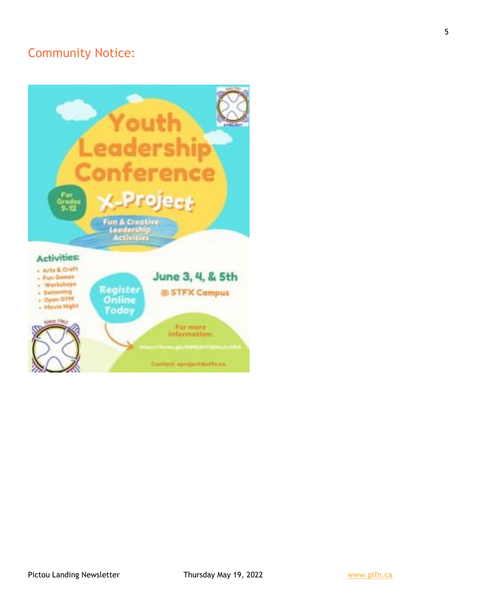## Community Notice: